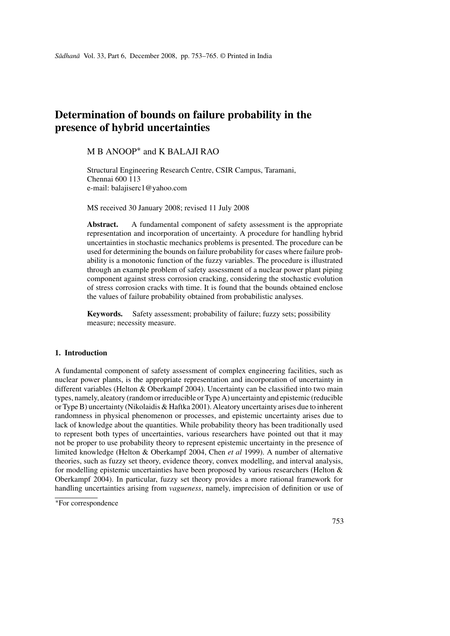# **Determination of bounds on failure probability in the presence of hybrid uncertainties**

## M B ANOOP<sup>∗</sup> and K BALAJI RAO

Structural Engineering Research Centre, CSIR Campus, Taramani, Chennai 600 113 e-mail: balajiserc1@yahoo.com

MS received 30 January 2008; revised 11 July 2008

**Abstract.** A fundamental component of safety assessment is the appropriate representation and incorporation of uncertainty. A procedure for handling hybrid uncertainties in stochastic mechanics problems is presented. The procedure can be used for determining the bounds on failure probability for cases where failure probability is a monotonic function of the fuzzy variables. The procedure is illustrated through an example problem of safety assessment of a nuclear power plant piping component against stress corrosion cracking, considering the stochastic evolution of stress corrosion cracks with time. It is found that the bounds obtained enclose the values of failure probability obtained from probabilistic analyses.

**Keywords.** Safety assessment; probability of failure; fuzzy sets; possibility measure; necessity measure.

## **1. Introduction**

A fundamental component of safety assessment of complex engineering facilities, such as nuclear power plants, is the appropriate representation and incorporation of uncertainty in different variables (Helton & Oberkampf 2004). Uncertainty can be classified into two main types, namely, aleatory (random or irreducible or Type A) uncertainty and epistemic (reducible or Type B) uncertainty (Nikolaidis & Haftka 2001). Aleatory uncertainty arises due to inherent randomness in physical phenomenon or processes, and epistemic uncertainty arises due to lack of knowledge about the quantities. While probability theory has been traditionally used to represent both types of uncertainties, various researchers have pointed out that it may not be proper to use probability theory to represent epistemic uncertainty in the presence of limited knowledge (Helton & Oberkampf 2004, Chen *et al* 1999). A number of alternative theories, such as fuzzy set theory, evidence theory, convex modelling, and interval analysis, for modelling epistemic uncertainties have been proposed by various researchers (Helton  $\&$ Oberkampf 2004). In particular, fuzzy set theory provides a more rational framework for handling uncertainties arising from *vagueness*, namely, imprecision of definition or use of

<sup>∗</sup>For correspondence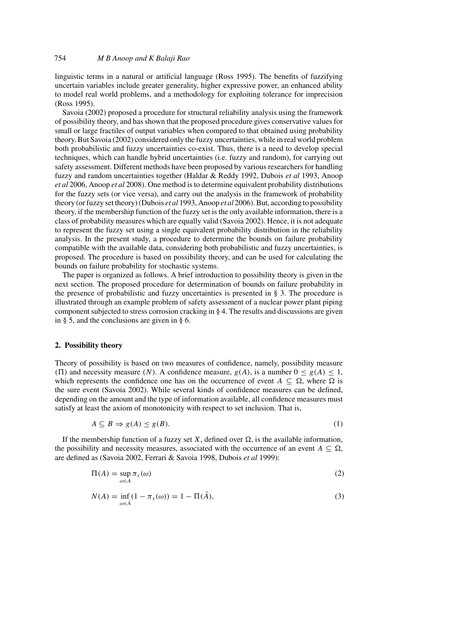linguistic terms in a natural or artificial language (Ross 1995). The benefits of fuzzifying uncertain variables include greater generality, higher expressive power, an enhanced ability to model real world problems, and a methodology for exploiting tolerance for imprecision (Ross 1995).

Savoia (2002) proposed a procedure for structural reliability analysis using the framework of possibility theory, and has shown that the proposed procedure gives conservative values for small or large fractiles of output variables when compared to that obtained using probability theory. But Savoia (2002) considered only the fuzzy uncertainties, while in real world problem both probabilistic and fuzzy uncertainties co-exist. Thus, there is a need to develop special techniques, which can handle hybrid uncertainties (i.e. fuzzy and random), for carrying out safety assessment. Different methods have been proposed by various researchers for handling fuzzy and random uncertainties together (Haldar & Reddy 1992, Dubois *et al* 1993, Anoop *et al* 2006, Anoop *et al* 2008). One method is to determine equivalent probability distributions for the fuzzy sets (or vice versa), and carry out the analysis in the framework of probability theory (or fuzzy set theory) (Dubois *et al* 1993, Anoop *et al* 2006). But, according to possibility theory, if the membership function of the fuzzy set is the only available information, there is a class of probability measures which are equally valid (Savoia 2002). Hence, it is not adequate to represent the fuzzy set using a single equivalent probability distribution in the reliability analysis. In the present study, a procedure to determine the bounds on failure probability compatible with the available data, considering both probabilistic and fuzzy uncertainties, is proposed. The procedure is based on possibility theory, and can be used for calculating the bounds on failure probability for stochastic systems.

The paper is organized as follows. A brief introduction to possibility theory is given in the next section. The proposed procedure for determination of bounds on failure probability in the presence of probabilistic and fuzzy uncertainties is presented in § 3. The procedure is illustrated through an example problem of safety assessment of a nuclear power plant piping component subjected to stress corrosion cracking in § 4. The results and discussions are given in § 5, and the conclusions are given in § 6.

## **2. Possibility theory**

Theory of possibility is based on two measures of confidence, namely, possibility measure (II) and necessity measure *(N)*. A confidence measure,  $g(A)$ , is a number  $0 \le g(A) \le 1$ , which represents the confidence one has on the occurrence of event  $A \subseteq \Omega$ , where  $\Omega$  is the sure event (Savoia 2002). While several kinds of confidence measures can be defined, depending on the amount and the type of information available, all confidence measures must satisfy at least the axiom of monotonicity with respect to set inclusion. That is,

$$
A \subseteq B \Rightarrow g(A) \le g(B). \tag{1}
$$

If the membership function of a fuzzy set *X*, defined over  $\Omega$ , is the available information, the possibility and necessity measures, associated with the occurrence of an event  $A \subseteq \Omega$ , are defined as (Savoia 2002, Ferrari & Savoia 1998, Dubois *et al* 1999):

$$
\Pi(A) = \sup_{\omega \in A} \pi_x(\omega) \tag{2}
$$

$$
N(A) = \inf_{\omega \in \bar{A}} (1 - \pi_X(\omega)) = 1 - \Pi(\bar{A}),
$$
\n(3)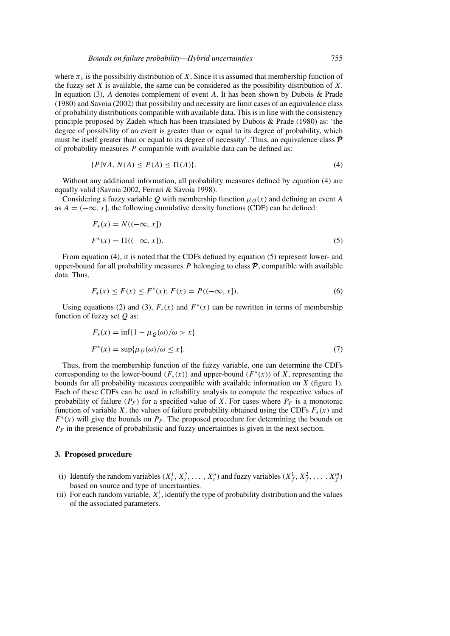where  $\pi_x$  is the possibility distribution of *X*. Since it is assumed that membership function of the fuzzy set *X* is available, the same can be considered as the possibility distribution of *X*. In equation (3),  $\overline{A}$  denotes complement of event *A*. It has been shown by Dubois & Prade (1980) and Savoia (2002) that possibility and necessity are limit cases of an equivalence class of probability distributions compatible with available data. This is in line with the consistency principle proposed by Zadeh which has been translated by Dubois & Prade (1980) as: 'the degree of possibility of an event is greater than or equal to its degree of probability, which must be itself greater than or equal to its degree of necessity'. Thus, an equivalence class  $\mathcal{P}$ of probability measures *P* compatible with available data can be defined as:

$$
\{P|\forall A, N(A) \le P(A) \le \Pi(A)\}.\tag{4}
$$

Without any additional information, all probability measures defined by equation (4) are equally valid (Savoia 2002, Ferrari & Savoia 1998).

Considering a fuzzy variable Q with membership function  $\mu<sub>O</sub>(x)$  and defining an event A as  $A = (-\infty, x]$ , the following cumulative density functions (CDF) can be defined:

$$
F_*(x) = N((-\infty, x])
$$
  

$$
F^*(x) = \Pi((-\infty, x]).
$$
 (5)

From equation (4), it is noted that the CDFs defined by equation (5) represent lower- and upper-bound for all probability measures  $P$  belonging to class  $P$ , compatible with available data. Thus,

$$
F_*(x) \le F(x) \le F^*(x); \ F(x) = P((-\infty, x]). \tag{6}
$$

Using equations (2) and (3),  $F_*(x)$  and  $F^*(x)$  can be rewritten in terms of membership function of fuzzy set *Q* as:

$$
F_*(x) = \inf\{1 - \mu_Q(\omega)/\omega > x\}
$$
  

$$
F^*(x) = \sup{\mu_Q(\omega)/\omega \le x\}.
$$
 (7)

Thus, from the membership function of the fuzzy variable, one can determine the CDFs corresponding to the lower-bound  $(F_*(x))$  and upper-bound  $(F^*(x))$  of *X*, representing the bounds for all probability measures compatible with available information on *X* (figure 1). Each of these CDFs can be used in reliability analysis to compute the respective values of probability of failure  $(P_F)$  for a specified value of *X*. For cases where  $P_F$  is a monotonic function of variable *X*, the values of failure probability obtained using the CDFs  $F_*(x)$  and  $F^*(x)$  will give the bounds on  $P_F$ . The proposed procedure for determining the bounds on  $P_F$  in the presence of probabilistic and fuzzy uncertainties is given in the next section.

#### **3. Proposed procedure**

- (i) Identify the random variables  $(X_r^1, X_r^2, \ldots, X_r^n)$  and fuzzy variables  $(X_f^1, X_f^2, \ldots, X_f^m)$ based on source and type of uncertainties.
- (ii) For each random variable,  $X_r^i$ , identify the type of probability distribution and the values of the associated parameters.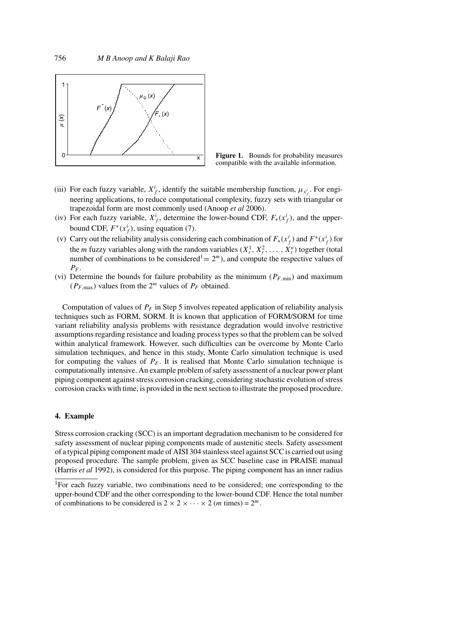



- (iii) For each fuzzy variable,  $X^i_f$ , identify the suitable membership function,  $\mu_{x^i_f}$ . For engineering applications, to reduce computational complexity, fuzzy sets with triangular or trapezoidal form are most commonly used (Anoop *et al* 2006).
- (iv) For each fuzzy variable,  $X^i_f$ , determine the lower-bound CDF,  $F_*(x^i_f)$ , and the upperbound CDF,  $F^*(x_f^i)$ , using equation (7).
- (v) Carry out the reliability analysis considering each combination of  $F_*(x_f^i)$  and  $F^*(x_f^i)$  for the *m* fuzzy variables along with the random variables  $(X_r^1, X_r^2, \ldots, X_r^n)$  together (total number of combinations to be considered<sup>1</sup> =  $2<sup>m</sup>$ ), and compute the respective values of *PF* .
- (vi) Determine the bounds for failure probability as the minimum  $(P_{F,\text{min}})$  and maximum  $(P_{F, \text{max}})$  values from the  $2^m$  values of  $P_F$  obtained.

Computation of values of  $P_F$  in Step 5 involves repeated application of reliability analysis techniques such as FORM, SORM. It is known that application of FORM/SORM for time variant reliability analysis problems with resistance degradation would involve restrictive assumptions regarding resistance and loading process types so that the problem can be solved within analytical framework. However, such difficulties can be overcome by Monte Carlo simulation techniques, and hence in this study, Monte Carlo simulation technique is used for computing the values of  $P_F$ . It is realised that Monte Carlo simulation technique is computationally intensive. An example problem of safety assessment of a nuclear power plant piping component against stress corrosion cracking, considering stochastic evolution of stress corrosion cracks with time, is provided in the next section to illustrate the proposed procedure.

## **4. Example**

Stress corrosion cracking (SCC) is an important degradation mechanism to be considered for safety assessment of nuclear piping components made of austenitic steels. Safety assessment of a typical piping component made of AISI 304 stainless steel against SCC is carried out using proposed procedure. The sample problem, given as SCC baseline case in PRAISE manual (Harris *et al* 1992), is considered for this purpose. The piping component has an inner radius

<sup>&</sup>lt;sup>1</sup>For each fuzzy variable, two combinations need to be considered; one corresponding to the upper-bound CDF and the other corresponding to the lower-bound CDF. Hence the total number of combinations to be considered is  $2 \times 2 \times \cdots \times 2$  (*m* times) =  $2^m$ .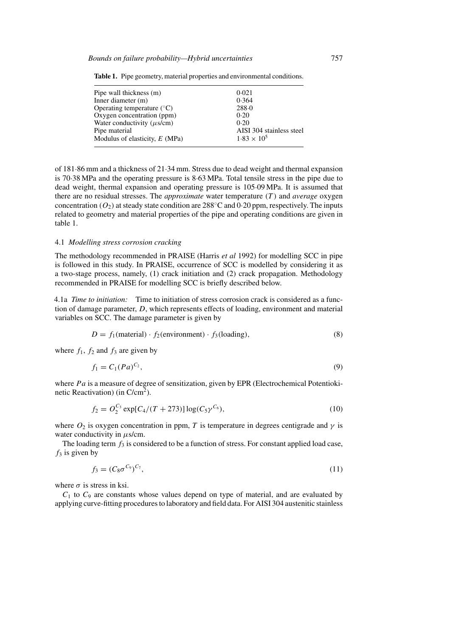| Pipe wall thickness (m)               | 0.021                    |  |
|---------------------------------------|--------------------------|--|
| Inner diameter $(m)$                  | 0.364                    |  |
| Operating temperature $({}^{\circ}C)$ | 288.0                    |  |
| Oxygen concentration (ppm)            | 0.20                     |  |
| Water conductivity $(\mu s/cm)$       | 0.20                     |  |
| Pipe material                         | AISI 304 stainless steel |  |
| Modulus of elasticity, $E(MPa)$       | $1.83 \times 10^{5}$     |  |

**Table 1.** Pipe geometry, material properties and environmental conditions.

of 181·86 mm and a thickness of 21·34 mm. Stress due to dead weight and thermal expansion is 70·38 MPa and the operating pressure is 8·63 MPa. Total tensile stress in the pipe due to dead weight, thermal expansion and operating pressure is 105·09 MPa. It is assumed that there are no residual stresses. The *approximate* water temperature *(T )* and *average* oxygen concentration  $(O_2)$  at steady state condition are 288<sup>°</sup>C and 0·20 ppm, respectively. The inputs related to geometry and material properties of the pipe and operating conditions are given in table 1.

#### 4.1 *Modelling stress corrosion cracking*

The methodology recommended in PRAISE (Harris *et al* 1992) for modelling SCC in pipe is followed in this study. In PRAISE, occurrence of SCC is modelled by considering it as a two-stage process, namely, (1) crack initiation and (2) crack propagation. Methodology recommended in PRAISE for modelling SCC is briefly described below.

4.1a *Time to initiation:* Time to initiation of stress corrosion crack is considered as a function of damage parameter, *D*, which represents effects of loading, environment and material variables on SCC. The damage parameter is given by

$$
D = f_1(\text{material}) \cdot f_2(\text{environment}) \cdot f_3(\text{loading}),\tag{8}
$$

where  $f_1$ ,  $f_2$  and  $f_3$  are given by

$$
f_1 = C_1 (Pa)^{C_2},\tag{9}
$$

where *Pa* is a measure of degree of sensitization, given by EPR (Electrochemical Potentiokinetic Reactivation) (in  $C/cm<sup>2</sup>$ ).

$$
f_2 = O_2^{C_3} \exp[C_4/(T+273)] \log(C_5 \gamma^{C_6}), \tag{10}
$$

where  $O_2$  is oxygen concentration in ppm, *T* is temperature in degrees centigrade and  $\gamma$  is water conductivity in *μ*s/cm.

The loading term  $f_3$  is considered to be a function of stress. For constant applied load case,  $f_3$  is given by

$$
f_3 = (C_8 \sigma^{C_9})^{C_7},\tag{11}
$$

where  $\sigma$  is stress in ksi.

 $C_1$  to  $C_9$  are constants whose values depend on type of material, and are evaluated by applying curve-fitting procedures to laboratory and field data. For AISI 304 austenitic stainless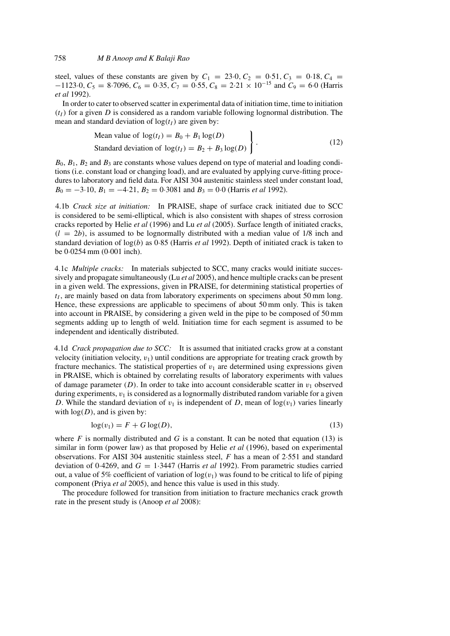steel, values of these constants are given by  $C_1 = 23.0, C_2 = 0.51, C_3 = 0.18, C_4 =$  $-1123.0, C_5 = 8.7096, C_6 = 0.35, C_7 = 0.55, C_8 = 2.21 \times 10^{-15}$  and  $C_9 = 6.0$  (Harris *et al* 1992).

In order to cater to observed scatter in experimental data of initiation time, time to initiation  $(t<sub>I</sub>)$  for a given *D* is considered as a random variable following lognormal distribution. The mean and standard deviation of  $log(t_I)$  are given by:

Mean value of 
$$
log(t_I) = B_0 + B_1 log(D)
$$
  
Standard deviation of  $log(t_I) = B_2 + B_3 log(D)$  (12)

 $B_0$ ,  $B_1$ ,  $B_2$  and  $B_3$  are constants whose values depend on type of material and loading conditions (i.e. constant load or changing load), and are evaluated by applying curve-fitting procedures to laboratory and field data. For AISI 304 austenitic stainless steel under constant load,  $B_0 = -3.10$ ,  $B_1 = -4.21$ ,  $B_2 = 0.3081$  and  $B_3 = 0.0$  (Harris *et al* 1992).

4.1b *Crack size at initiation:* In PRAISE, shape of surface crack initiated due to SCC is considered to be semi-elliptical, which is also consistent with shapes of stress corrosion cracks reported by Helie *et al* (1996) and Lu *et al* (2005). Surface length of initiated cracks,  $(l = 2b)$ , is assumed to be lognormally distributed with a median value of 1/8 inch and standard deviation of log*(b)* as 0·85 (Harris *et al* 1992). Depth of initiated crack is taken to be 0·0254 mm (0·001 inch).

4.1c *Multiple cracks:* In materials subjected to SCC, many cracks would initiate successively and propagate simultaneously (Lu *et al* 2005), and hence multiple cracks can be present in a given weld. The expressions, given in PRAISE, for determining statistical properties of  $t_1$ , are mainly based on data from laboratory experiments on specimens about 50 mm long. Hence, these expressions are applicable to specimens of about 50 mm only. This is taken into account in PRAISE, by considering a given weld in the pipe to be composed of 50 mm segments adding up to length of weld. Initiation time for each segment is assumed to be independent and identically distributed.

4.1d *Crack propagation due to SCC:* It is assumed that initiated cracks grow at a constant velocity (initiation velocity,  $v_1$ ) until conditions are appropriate for treating crack growth by fracture mechanics. The statistical properties of  $v_1$  are determined using expressions given in PRAISE, which is obtained by correlating results of laboratory experiments with values of damage parameter  $(D)$ . In order to take into account considerable scatter in  $v_1$  observed during experiments,  $v_1$  is considered as a lognormally distributed random variable for a given *D*. While the standard deviation of  $v_1$  is independent of *D*, mean of log( $v_1$ ) varies linearly with  $log(D)$ , and is given by:

$$
\log(v_1) = F + G \log(D),\tag{13}
$$

where  $F$  is normally distributed and  $G$  is a constant. It can be noted that equation (13) is similar in form (power law) as that proposed by Helie *et al* (1996), based on experimental observations. For AISI 304 austenitic stainless steel, *F* has a mean of 2·551 and standard deviation of 0.4269, and  $G = 1.3447$  (Harris *et al* 1992). From parametric studies carried out, a value of 5% coefficient of variation of  $log(v_1)$  was found to be critical to life of piping component (Priya *et al* 2005), and hence this value is used in this study.

The procedure followed for transition from initiation to fracture mechanics crack growth rate in the present study is (Anoop *et al* 2008):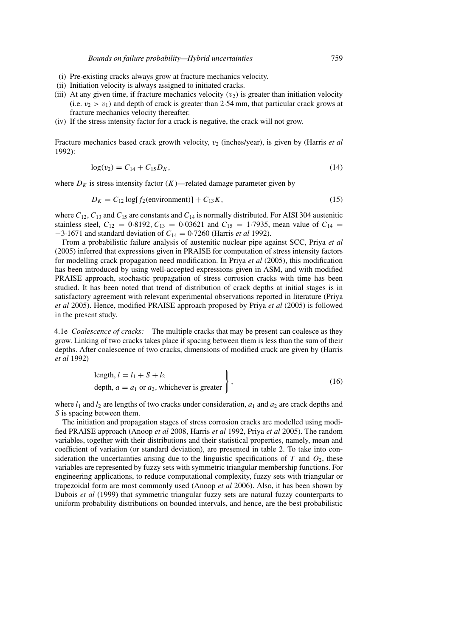- (i) Pre-existing cracks always grow at fracture mechanics velocity.
- (ii) Initiation velocity is always assigned to initiated cracks.
- (iii) At any given time, if fracture mechanics velocity  $(v_2)$  is greater than initiation velocity (i.e.  $v_2 > v_1$ ) and depth of crack is greater than 2.54 mm, that particular crack grows at fracture mechanics velocity thereafter.
- (iv) If the stress intensity factor for a crack is negative, the crack will not grow.

Fracture mechanics based crack growth velocity,  $v_2$  (inches/year), is given by (Harris *et al*) 1992):

$$
\log(v_2) = C_{14} + C_{15}D_K,\tag{14}
$$

where  $D_K$  is stress intensity factor  $(K)$ —related damage parameter given by

$$
D_K = C_{12} \log[f_2(\text{environment})] + C_{13}K,\tag{15}
$$

where  $C_{12}$ ,  $C_{13}$  and  $C_{15}$  are constants and  $C_{14}$  is normally distributed. For AISI 304 austenitic stainless steel,  $C_{12} = 0.8192, C_{13} = 0.03621$  and  $C_{15} = 1.7935$ , mean value of  $C_{14} =$ −3·1671 and standard deviation of *C*<sup>14</sup> = 0·7260 (Harris *et al* 1992).

From a probabilistic failure analysis of austenitic nuclear pipe against SCC, Priya *et al* (2005) inferred that expressions given in PRAISE for computation of stress intensity factors for modelling crack propagation need modification. In Priya *et al* (2005), this modification has been introduced by using well-accepted expressions given in ASM, and with modified PRAISE approach, stochastic propagation of stress corrosion cracks with time has been studied. It has been noted that trend of distribution of crack depths at initial stages is in satisfactory agreement with relevant experimental observations reported in literature (Priya *et al* 2005). Hence, modified PRAISE approach proposed by Priya *et al* (2005) is followed in the present study.

4.1e *Coalescence of cracks:* The multiple cracks that may be present can coalesce as they grow. Linking of two cracks takes place if spacing between them is less than the sum of their depths. After coalescence of two cracks, dimensions of modified crack are given by (Harris *et al* 1992)

length, 
$$
l = l_1 + S + l_2
$$
  
depth,  $a = a_1$  or  $a_2$ , whichever is greater  
(16)

where  $l_1$  and  $l_2$  are lengths of two cracks under consideration,  $a_1$  and  $a_2$  are crack depths and *S* is spacing between them.

The initiation and propagation stages of stress corrosion cracks are modelled using modified PRAISE approach (Anoop *et al* 2008, Harris *et al* 1992, Priya *et al* 2005). The random variables, together with their distributions and their statistical properties, namely, mean and coefficient of variation (or standard deviation), are presented in table 2. To take into consideration the uncertainties arising due to the linguistic specifications of  $T$  and  $O_2$ , these variables are represented by fuzzy sets with symmetric triangular membership functions. For engineering applications, to reduce computational complexity, fuzzy sets with triangular or trapezoidal form are most commonly used (Anoop *et al* 2006). Also, it has been shown by Dubois *et al* (1999) that symmetric triangular fuzzy sets are natural fuzzy counterparts to uniform probability distributions on bounded intervals, and hence, are the best probabilistic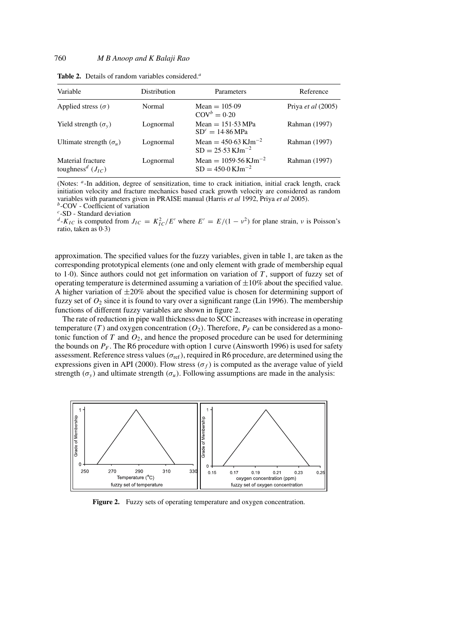| Variable                                               | <b>Distribution</b> | Parameters                                                               | Reference                 |
|--------------------------------------------------------|---------------------|--------------------------------------------------------------------------|---------------------------|
| Applied stress $(\sigma)$                              | Normal              | Mean $= 105.09$<br>$\text{COV}^b = 0.20$                                 | Priya <i>et al</i> (2005) |
| Yield strength $(\sigma_v)$                            | Lognormal           | $Mean = 151.53 MPa$<br>$SDc = 14.86 MPa$                                 | Rahman (1997)             |
| Ultimate strength $(\sigma_u)$                         | Lognormal           | Mean = $450.63$ KJm <sup>-2</sup><br>$SD = 25.53$ KJm <sup>-2</sup>      | Rahman (1997)             |
| Material fracture<br>toughness <sup>d</sup> $(J_{IC})$ | Lognormal           | Mean = $1059.56 \,\mathrm{KJm}^{-2}$<br>$SD = 450.0 \,\mathrm{KJm}^{-2}$ | Rahman (1997)             |

**Table 2.** Details of random variables considered.*<sup>a</sup>*

(Notes: *<sup>a</sup>*-In addition, degree of sensitization, time to crack initiation, initial crack length, crack initiation velocity and fracture mechanics based crack growth velocity are considered as random variables with parameters given in PRAISE manual (Harris *et al* 1992, Priya *et al* 2005).

*<sup>b</sup>*-COV - Coefficient of variation

*<sup>c</sup>*-SD - Standard deviation

 $d$ -*K<sub>IC</sub>* is computed from  $J_{IC} = K_{IC}^2/E'$  where  $E' = E/(1 - v^2)$  for plane strain, *v* is Poisson's ratio, taken as  $0.3$ )

approximation. The specified values for the fuzzy variables, given in table 1, are taken as the corresponding prototypical elements (one and only element with grade of membership equal to 1·0). Since authors could not get information on variation of *T* , support of fuzzy set of operating temperature is determined assuming a variation of  $\pm 10\%$  about the specified value. A higher variation of  $\pm 20\%$  about the specified value is chosen for determining support of fuzzy set of  $O_2$  since it is found to vary over a significant range (Lin 1996). The membership functions of different fuzzy variables are shown in figure 2.

The rate of reduction in pipe wall thickness due to SCC increases with increase in operating temperature *(T)* and oxygen concentration  $(O_2)$ . Therefore,  $P_F$  can be considered as a monotonic function of *T* and *O*2, and hence the proposed procedure can be used for determining the bounds on  $P_F$ . The R6 procedure with option 1 curve (Ainsworth 1996) is used for safety assessment. Reference stress values*(σ*ref*)*, required in R6 procedure, are determined using the expressions given in API (2000). Flow stress  $(\sigma_f)$  is computed as the average value of yield strength  $(\sigma_v)$  and ultimate strength  $(\sigma_u)$ . Following assumptions are made in the analysis:



**Figure 2.** Fuzzy sets of operating temperature and oxygen concentration.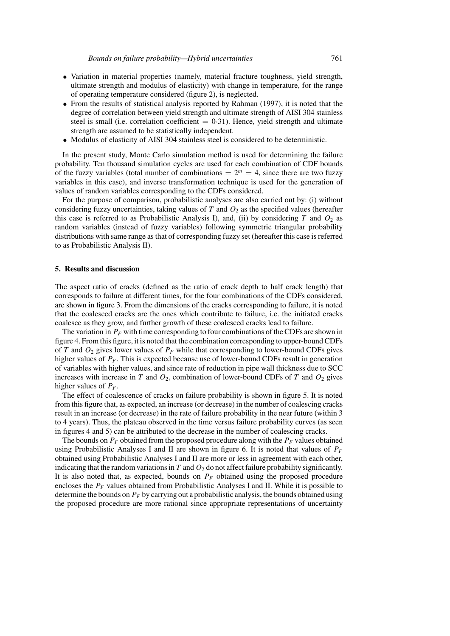- Variation in material properties (namely, material fracture toughness, yield strength, ultimate strength and modulus of elasticity) with change in temperature, for the range of operating temperature considered (figure 2), is neglected.
- From the results of statistical analysis reported by Rahman (1997), it is noted that the degree of correlation between yield strength and ultimate strength of AISI 304 stainless steel is small (i.e. correlation coefficient  $= 0.31$ ). Hence, yield strength and ultimate strength are assumed to be statistically independent.
- Modulus of elasticity of AISI 304 stainless steel is considered to be deterministic.

In the present study, Monte Carlo simulation method is used for determining the failure probability. Ten thousand simulation cycles are used for each combination of CDF bounds of the fuzzy variables (total number of combinations  $= 2<sup>m</sup> = 4$ , since there are two fuzzy variables in this case), and inverse transformation technique is used for the generation of values of random variables corresponding to the CDFs considered.

For the purpose of comparison, probabilistic analyses are also carried out by: (i) without considering fuzzy uncertainties, taking values of  $T$  and  $O_2$  as the specified values (hereafter this case is referred to as Probabilistic Analysis I), and, (ii) by considering  $T$  and  $O_2$  as random variables (instead of fuzzy variables) following symmetric triangular probability distributions with same range as that of corresponding fuzzy set (hereafter this case is referred to as Probabilistic Analysis II).

#### **5. Results and discussion**

The aspect ratio of cracks (defined as the ratio of crack depth to half crack length) that corresponds to failure at different times, for the four combinations of the CDFs considered, are shown in figure 3. From the dimensions of the cracks corresponding to failure, it is noted that the coalesced cracks are the ones which contribute to failure, i.e. the initiated cracks coalesce as they grow, and further growth of these coalesced cracks lead to failure.

The variation in  $P_F$  with time corresponding to four combinations of the CDFs are shown in figure 4. From this figure, it is noted that the combination corresponding to upper-bound CDFs of *T* and  $O_2$  gives lower values of  $P_F$  while that corresponding to lower-bound CDFs gives higher values of  $P_F$ . This is expected because use of lower-bound CDFs result in generation of variables with higher values, and since rate of reduction in pipe wall thickness due to SCC increases with increase in *T* and  $O_2$ , combination of lower-bound CDFs of *T* and  $O_2$  gives higher values of  $P_F$ .

The effect of coalescence of cracks on failure probability is shown in figure 5. It is noted from this figure that, as expected, an increase (or decrease) in the number of coalescing cracks result in an increase (or decrease) in the rate of failure probability in the near future (within 3 to 4 years). Thus, the plateau observed in the time versus failure probability curves (as seen in figures 4 and 5) can be attributed to the decrease in the number of coalescing cracks.

The bounds on  $P_F$  obtained from the proposed procedure along with the  $P_F$  values obtained using Probabilistic Analyses I and II are shown in figure 6. It is noted that values of  $P_F$ obtained using Probabilistic Analyses I and II are more or less in agreement with each other, indicating that the random variations in *T* and *O*<sup>2</sup> do not affect failure probability significantly. It is also noted that, as expected, bounds on  $P_F$  obtained using the proposed procedure encloses the  $P_F$  values obtained from Probabilistic Analyses I and II. While it is possible to determine the bounds on  $P_F$  by carrying out a probabilistic analysis, the bounds obtained using the proposed procedure are more rational since appropriate representations of uncertainty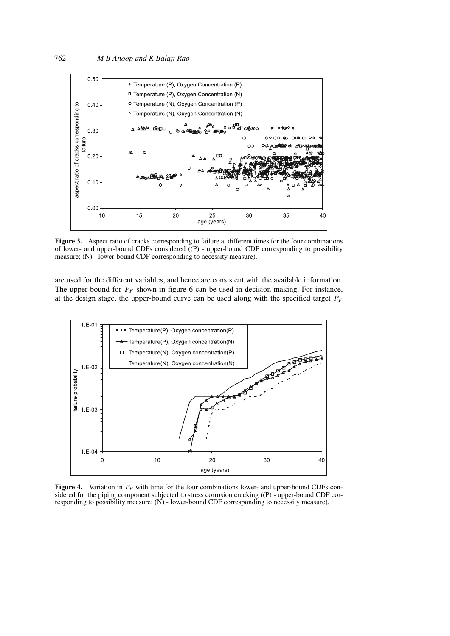

**Figure 3.** Aspect ratio of cracks corresponding to failure at different times for the four combinations of lower- and upper-bound CDFs considered ((P) - upper-bound CDF corresponding to possibility measure; (N) - lower-bound CDF corresponding to necessity measure).

are used for the different variables, and hence are consistent with the available information. The upper-bound for  $P_F$  shown in figure 6 can be used in decision-making. For instance, at the design stage, the upper-bound curve can be used along with the specified target  $P_F$ 



**Figure 4.** Variation in  $P_F$  with time for the four combinations lower- and upper-bound CDFs considered for the piping component subjected to stress corrosion cracking ((P) - upper-bound CDF corresponding to possibility measure; (N) - lower-bound CDF corresponding to necessity measure).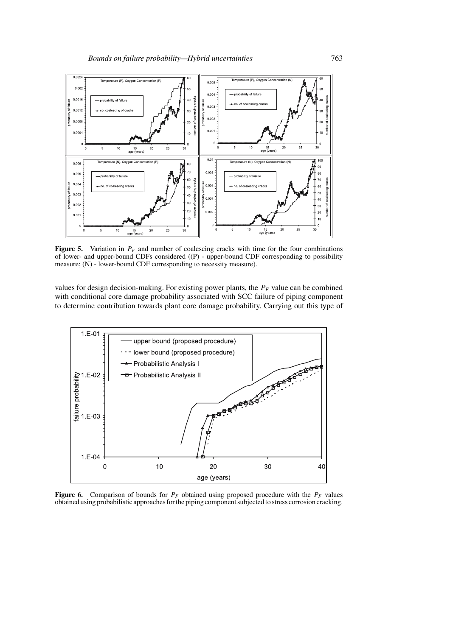

**Figure 5.** Variation in  $P_F$  and number of coalescing cracks with time for the four combinations of lower- and upper-bound CDFs considered ((P) - upper-bound CDF corresponding to possibility measure; (N) - lower-bound CDF corresponding to necessity measure).

values for design decision-making. For existing power plants, the  $P_F$  value can be combined with conditional core damage probability associated with SCC failure of piping component to determine contribution towards plant core damage probability. Carrying out this type of



**Figure 6.** Comparison of bounds for  $P_F$  obtained using proposed procedure with the  $P_F$  values obtained using probabilistic approaches for the piping component subjected to stress corrosion cracking.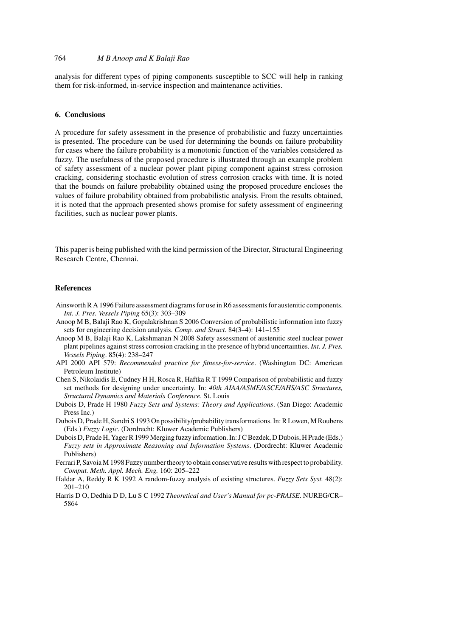## 764 *M B Anoop and K Balaji Rao*

analysis for different types of piping components susceptible to SCC will help in ranking them for risk-informed, in-service inspection and maintenance activities.

### **6. Conclusions**

A procedure for safety assessment in the presence of probabilistic and fuzzy uncertainties is presented. The procedure can be used for determining the bounds on failure probability for cases where the failure probability is a monotonic function of the variables considered as fuzzy. The usefulness of the proposed procedure is illustrated through an example problem of safety assessment of a nuclear power plant piping component against stress corrosion cracking, considering stochastic evolution of stress corrosion cracks with time. It is noted that the bounds on failure probability obtained using the proposed procedure encloses the values of failure probability obtained from probabilistic analysis. From the results obtained, it is noted that the approach presented shows promise for safety assessment of engineering facilities, such as nuclear power plants.

This paper is being published with the kind permission of the Director, Structural Engineering Research Centre, Chennai.

## **References**

- Ainsworth R A 1996 Failure assessment diagrams for use in R6 assessments for austenitic components. *Int. J. Pres. Vessels Piping* 65(3): 303–309
- Anoop M B, Balaji Rao K, Gopalakrishnan S 2006 Conversion of probabilistic information into fuzzy sets for engineering decision analysis. *Comp. and Struct.* 84(3–4): 141–155
- Anoop M B, Balaji Rao K, Lakshmanan N 2008 Safety assessment of austenitic steel nuclear power plant pipelines against stress corrosion cracking in the presence of hybrid uncertainties. *Int. J. Pres. Vessels Piping*. 85(4): 238–247
- API 2000 API 579: *Recommended practice for fitness-for-service*. (Washington DC: American Petroleum Institute)
- Chen S, Nikolaidis E, Cudney H H, Rosca R, Haftka R T 1999 Comparison of probabilistic and fuzzy set methods for designing under uncertainty. In: *40th AIAA/ASME/ASCE/AHS/ASC Structures, Structural Dynamics and Materials Conference*. St. Louis
- Dubois D, Prade H 1980 *Fuzzy Sets and Systems: Theory and Applications*. (San Diego: Academic Press Inc.)
- Dubois D, Prade H, Sandri S 1993 On possibility/probability transformations. In: R Lowen, M Roubens (Eds.) *Fuzzy Logic*. (Dordrecht: Kluwer Academic Publishers)
- Dubois D, Prade H, Yager R 1999 Merging fuzzy information. In: J C Bezdek, D Dubois, H Prade (Eds.) *Fuzzy sets in Approximate Reasoning and Information Systems*. (Dordrecht: Kluwer Academic Publishers)
- Ferrari P, Savoia M 1998 Fuzzy number theory to obtain conservative results with respect to probability. *Comput. Meth. Appl. Mech. Eng.* 160: 205–222
- Haldar A, Reddy R K 1992 A random-fuzzy analysis of existing structures. *Fuzzy Sets Syst.* 48(2): 201–210
- Harris D O, Dedhia D D, Lu S C 1992 *Theoretical and User's Manual for pc-PRAISE*. NUREG/CR– 5864